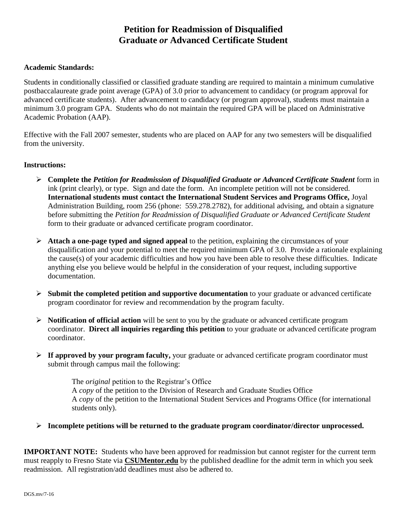## **Petition for Readmission of Disqualified Graduate** *or* **Advanced Certificate Student**

## **Academic Standards:**

Students in conditionally classified or classified graduate standing are required to maintain a minimum cumulative postbaccalaureate grade point average (GPA) of 3.0 prior to advancement to candidacy (or program approval for advanced certificate students). After advancement to candidacy (or program approval), students must maintain a minimum 3.0 program GPA. Students who do not maintain the required GPA will be placed on Administrative Academic Probation (AAP).

Effective with the Fall 2007 semester, students who are placed on AAP for any two semesters will be disqualified from the university.

## **Instructions:**

- **Complete the** *Petition for Readmission of Disqualified Graduate or Advanced Certificate Student* form in ink (print clearly), or type. Sign and date the form. An incomplete petition will not be considered. **International students must contact the International Student Services and Programs Office,** Joyal Administration Building, room 256 (phone: 559.278.2782), for additional advising, and obtain a signature before submitting the *Petition for Readmission of Disqualified Graduate or Advanced Certificate Student* form to their graduate or advanced certificate program coordinator.
- **Attach a one-page typed and signed appeal** to the petition, explaining the circumstances of your disqualification and your potential to meet the required minimum GPA of 3.0. Provide a rationale explaining the cause(s) of your academic difficulties and how you have been able to resolve these difficulties. Indicate anything else you believe would be helpful in the consideration of your request, including supportive documentation.
- **Submit the completed petition and supportive documentation** to your graduate or advanced certificate program coordinator for review and recommendation by the program faculty.
- **Notification of official action** will be sent to you by the graduate or advanced certificate program coordinator. **Direct all inquiries regarding this petition** to your graduate or advanced certificate program coordinator.
- $\triangleright$  **If approved by your program faculty,** your graduate or advanced certificate program coordinator must submit through campus mail the following:

The *original* petition to the Registrar's Office A *copy* of the petition to the Division of Research and Graduate Studies Office A *copy* of the petition to the International Student Services and Programs Office (for international students only).

**Incomplete petitions will be returned to the graduate program coordinator/director unprocessed.**

**IMPORTANT NOTE:** Students who have been approved for readmission but cannot register for the current term must reapply to Fresno State via **CSUMentor.edu** by the published deadline for the admit term in which you seek readmission. All registration/add deadlines must also be adhered to.